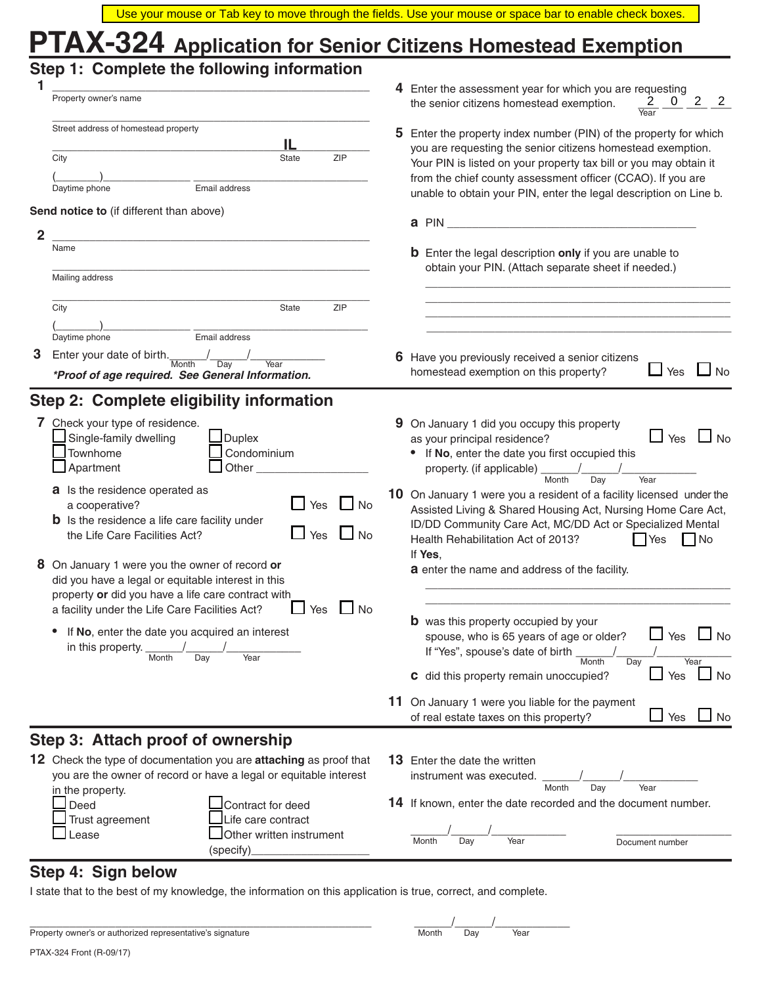|                                                                                                                                                                                                                                  | Use your mouse or Tab key to move through the fields. Use your mouse or space bar to enable check boxes.                                                                                                                                                                                                                                  |
|----------------------------------------------------------------------------------------------------------------------------------------------------------------------------------------------------------------------------------|-------------------------------------------------------------------------------------------------------------------------------------------------------------------------------------------------------------------------------------------------------------------------------------------------------------------------------------------|
| PTAX-324 Application for Senior Citizens Homestead Exemption                                                                                                                                                                     |                                                                                                                                                                                                                                                                                                                                           |
| Step 1: Complete the following information                                                                                                                                                                                       | 4 Enter the assessment year for which you are requesting                                                                                                                                                                                                                                                                                  |
| Property owner's name                                                                                                                                                                                                            | $2^{\circ}$<br>2<br>the senior citizens homestead exemption.                                                                                                                                                                                                                                                                              |
| Street address of homestead property<br>IL.<br>ZIP<br>City<br>State<br>Email address<br>Daytime phone                                                                                                                            | 5 Enter the property index number (PIN) of the property for which<br>you are requesting the senior citizens homestead exemption.<br>Your PIN is listed on your property tax bill or you may obtain it<br>from the chief county assessment officer (CCAO). If you are<br>unable to obtain your PIN, enter the legal description on Line b. |
| Send notice to (if different than above)                                                                                                                                                                                         | a PIN and the contract of the contract of the contract of the contract of the contract of the contract of the contract of the contract of the contract of the contract of the contract of the contract of the contract of the                                                                                                             |
| $\overline{2}$<br>Name                                                                                                                                                                                                           |                                                                                                                                                                                                                                                                                                                                           |
| Mailing address                                                                                                                                                                                                                  | <b>b</b> Enter the legal description only if you are unable to<br>obtain your PIN. (Attach separate sheet if needed.)                                                                                                                                                                                                                     |
| City<br>ZIP<br>State                                                                                                                                                                                                             |                                                                                                                                                                                                                                                                                                                                           |
| Email address<br>Daytime phone<br>3<br>Enter your date of birth.<br>Day<br>Month<br>Year<br>*Proof of age required. See General Information.                                                                                     | 6 Have you previously received a senior citizens<br>Yes<br>No<br>homestead exemption on this property?                                                                                                                                                                                                                                    |
| Step 2: Complete eligibility information                                                                                                                                                                                         |                                                                                                                                                                                                                                                                                                                                           |
| 7 Check your type of residence.<br>Single-family dwelling<br><b>Duplex</b><br>Townhome<br>Condominium<br>Apartment<br>Other_                                                                                                     | 9 On January 1 did you occupy this property<br>$\Box$ No<br>$\sqcup$ Yes<br>as your principal residence?<br>If No, enter the date you first occupied this<br>property. (if applicable) _<br>Month<br>Year<br>Day                                                                                                                          |
| a Is the residence operated as<br>Yes<br>a cooperative?<br><b>No</b><br><b>b</b> Is the residence a life care facility under<br>Yes<br>the Life Care Facilities Act?<br><b>No</b>                                                | 10 On January 1 were you a resident of a facility licensed under the<br>Assisted Living & Shared Housing Act, Nursing Home Care Act,<br>ID/DD Community Care Act, MC/DD Act or Specialized Mental<br>Health Rehabilitation Act of 2013?<br>$\vert \vert$ Yes<br>$\vert$ No                                                                |
| 8 On January 1 were you the owner of record or<br>did you have a legal or equitable interest in this<br>property or did you have a life care contract with<br>$\Box$ No<br>a facility under the Life Care Facilities Act?<br>Yes | If Yes,<br>a enter the name and address of the facility.                                                                                                                                                                                                                                                                                  |
| If No, enter the date you acquired an interest<br>in this property.<br>Month<br>Year<br>Day                                                                                                                                      | <b>b</b> was this property occupied by your<br>Yes<br>$\Box$ No<br>spouse, who is 65 years of age or older?<br>If "Yes", spouse's date of birth _<br>Month<br>Year<br>Day                                                                                                                                                                 |
|                                                                                                                                                                                                                                  | $\Box$ No<br>$\Box$ Yes<br><b>C</b> did this property remain unoccupied?                                                                                                                                                                                                                                                                  |
|                                                                                                                                                                                                                                  | 11 On January 1 were you liable for the payment<br>$\Box$ Yes<br>$\Box$ No<br>of real estate taxes on this property?                                                                                                                                                                                                                      |
| Step 3: Attach proof of ownership                                                                                                                                                                                                |                                                                                                                                                                                                                                                                                                                                           |
| 12 Check the type of documentation you are attaching as proof that<br>you are the owner of record or have a legal or equitable interest                                                                                          | <b>13</b> Enter the date the written<br>instrument was executed.                                                                                                                                                                                                                                                                          |
| in the property.<br>Contract for deed<br>Deed<br>Life care contract<br>Trust agreement                                                                                                                                           | Month<br>Day<br>Year<br>14 If known, enter the date recorded and the document number.                                                                                                                                                                                                                                                     |
| Other written instrument<br>_ease<br>(specify)                                                                                                                                                                                   | Month<br>Year<br>Day<br>Document number                                                                                                                                                                                                                                                                                                   |

# **Step 4: Sign below**

I state that to the best of my knowledge, the information on this application is true, correct, and complete.

| Property owner's or authorized representative's signature |  |
|-----------------------------------------------------------|--|
|-----------------------------------------------------------|--|

| Property<br>owner<br>ш<br>onatur<br>. | Month | Dav | Year |  |
|---------------------------------------|-------|-----|------|--|